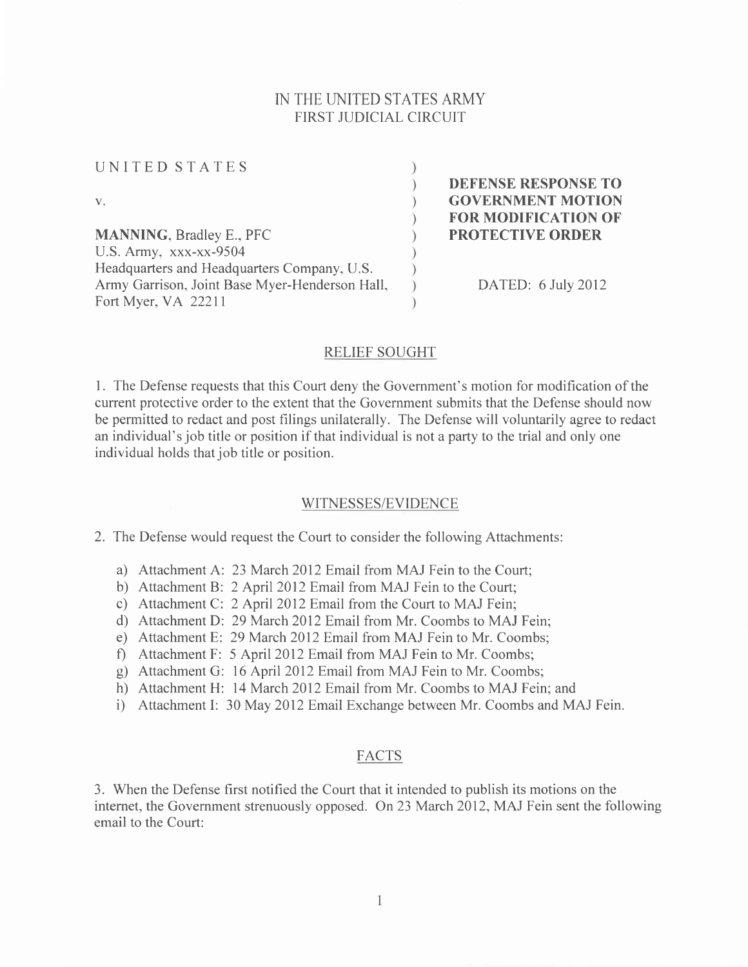## IN THE UNITED STATES ARMY FIRST JUDICIAL CIRCUIT

UNITED STATES V. MANNING, Bradley E., PFC U.S. Army, xxx-xx-9504 Headquarters and Headquarters Company, U.S. Army Garrison, Joint Base Myer-Henderson Hall. Fort Mver. VA 22211

DEFENSE RESPONSE TO GOVERNMENT MOTION FOR MODIFICATION OF PROTECTIVE ORDER

DATED: 6 July 2012

### RELIEF SOUGHT

l. The Defense requests that this Court deny the Government's motion for modification of the current protective order to the extent that the Government submits that the Defense should now be permitted to redact and post filings unilaterally. The Defense will voluntarily agree to redact an individual's job title or position if that individual is not a party to the trial and only one individual holds that job title or position.

#### WITNESSES/EVIDENCE

2. The Defense would request the Court to consider the following Attachments:

- a) Attachment A: 23 March 2012 Email from MAJ Fein to the Court;
- b) Attachment B: 2 April 2012 Email from MAJ Fein to the Court;
- c) Attachment C: 2 April 2012 Email from the Court to MAJ Fein;
- d) Attachment D: 29 March 2012 Email from Mr. Coombs to MAJ Fein;
- e) Attachment E: 29 March 2012 Email from MAJ Fein to Mr. Coombs;
- f) Attachment F: 5 April 2012 Email from MAJ Fein to Mr. Coombs;
- g) Attachment G: 16 April 2012 Email from MAJ Fein to Mr. Coombs;
- h) Attachment H: 14 March 2012 Email from Mr. Coombs to MAJ Fein; and
- i) Attachment I: 30 May 2012 Email Exchange between Mr. Coombs and MAJ Fein.

## FACTS

3. When the Defense first notified the Court that it intended to publish its motions on the internet, the Government strenuously opposed. On23 March 2012, MAJ Fein sent the following email to the Court: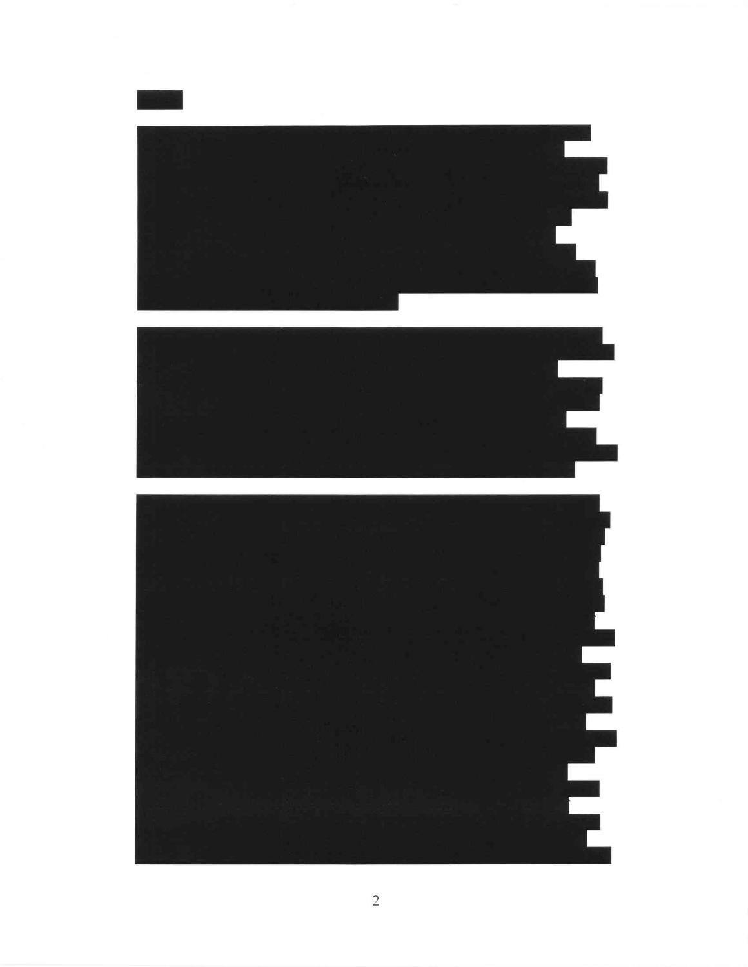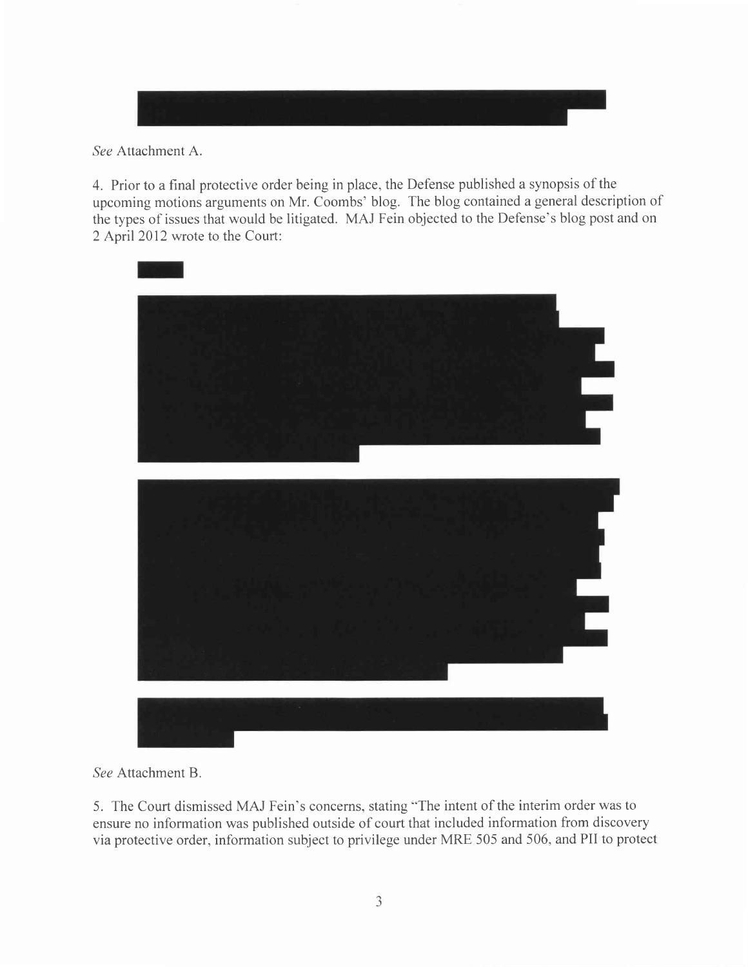See Attachment A.

4. Prior to a final protective order being in place, the Defense published a synopsis of the upcoming motions arguments on Mr. Coombs' blog. The blog contained a general description of the types of issues that would be litigated. MAJ Fein objected to the Defense's blog post and on 2 April 2012 wrote to the Court:



See Attachment B.

5. The Court dismissed MAJ Fein's concerns, stating "The intent of the interim order was to ensure no information was published outside of court that included information from discovery via protective order, information subject to privilege under MRE 505 and 506, and PII to protect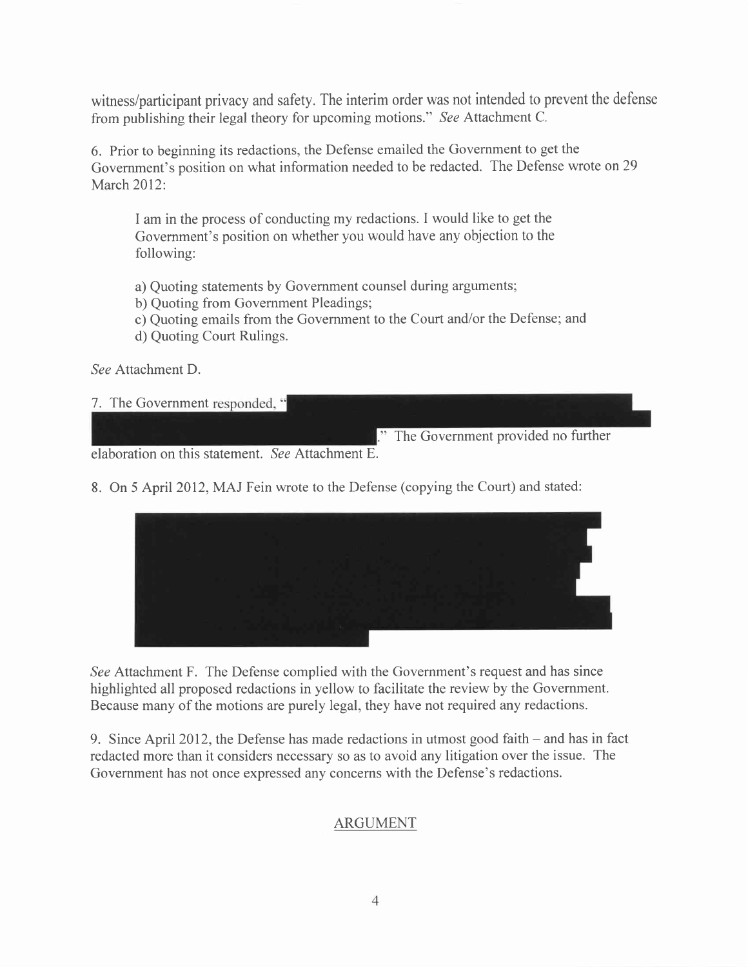witness/participant privacy and safety. The interim order was not intended to prevent the defense from publishing their legal theory for upcoming motions ." See Attachment C.

6. Prior to beginning its redactions, the Defense emailed the Government to get the Government's position on what information needed to be redacted. The Defense wrote on29 March 2012:

I am in the process of conducting my redactions. I would like to get the Government's position on whether you would have any objection to the following:

a) Quoting statements by Government counsel during arguments;

b) Quoting from Government Pleadings;

c) Quoting emails from the Government to the Court and/or the Defense; and

d) Quoting Court Rulings.

See Attachment D.

7. The Government responded, "

." The Government provided no further

elaboration on this statement. See Attachment E.

8. On 5 April 2012, MAJ Fein wrote to the Defense (copying the Court) and stated:



See Attachment F. The Defense complied with the Government's request and has since highlighted all proposed redactions in yellow to facilitate the review by the Government. Because many of the motions are purely legal, they have not required any redactions.

9. Since April 2012, the Defense has made redactions in utmost good faith – and has in fact redacted more than it considers necessary so as to avoid any litigation over the issue. The Government has not once expressed any concerns with the Defense's redactions.

# ARGUMENT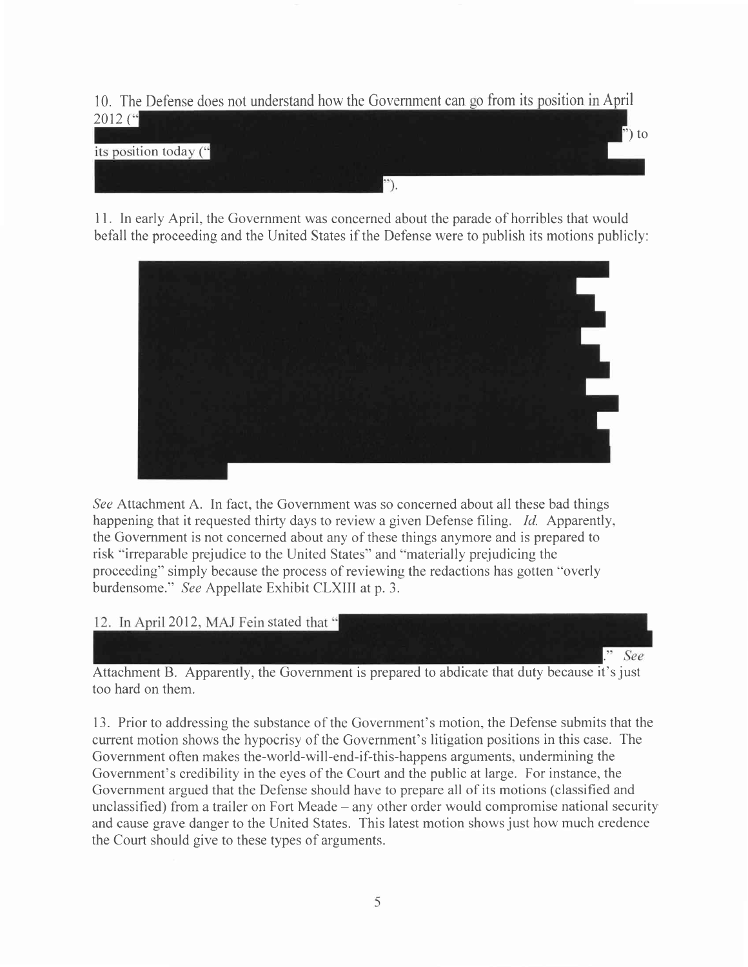10. The Defense does not understand how the Government can go from its position in April  $2012$  ( $\frac{44}{3}$ )



<sup>I</sup>I . In early April, the Government was concerned about the parade of horribles that would befall the proceeding and the United States if the Defense were to publish its motions publicly:



See Attachment A. In fact, the Government was so concerned about all these bad things happening that it requested thirty days to review a given Defense filing. *Id.* Apparently, the Government is not concerned about any of these things anymore and is prepared to risk "irreparable prejudice to the United States" and "materially prejudicing the proceeding" simply because the process of reviewing the redactions has gotten "overly burdensome." See Appellate Exhibit CLXIII at p. 3.

### 12. In April 2012, MAJ Fein stated that "

Attachment B. Apparently, the Government is prepared to abdicate that duty because it's just too hard on them.

 $"$  See

13. Prior to addressing the substance of the Government's motion, the Defense submits that the current motion shows the hypocrisy of the Government's litigation positions in this case. The Government often makes the-world-will-end-if-this-happens arguments, undermining the Government's credibility in the eyes of the Court and the public at large. For instance, the Government argued that the Defense should have to prepare all of its motions (classified and unclassified) from a trailer on Fort Meade – any other order would compromise national security and cause grave danger to the United States. This latest motion shows just how much credence the Court should give to these types of arguments.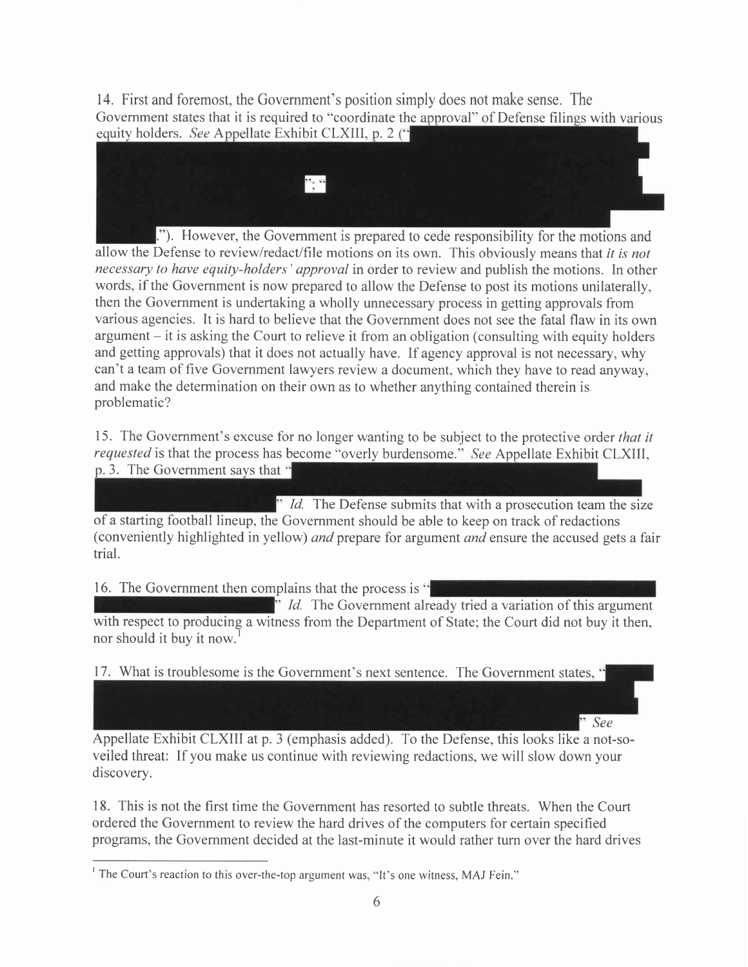14. First and foremost, the Government's position simply does not make sense. The Government states that it is required to "coordinate the approval" of Defense filings with various equity holders. See Appellate Exhibit CLXIII, p. 2 ("



"). However, the Government is prepared to cede responsibility for the motions and allow the Defense to review/redact/file motions on its own. This obviously means that it is not necessary to have equity-holders' approval in order to review and publish the motions. In other words, if the Government is now prepared to allow the Defense to post its motions unilaterally, then the Government is undertaking a wholly unnecessary process in getting approvals from various agencies. It is hard to believe that the Government does not see the fatal flaw in its own argument - it is asking the Court to relieve it from an obligation (consulting with equity holders and getting approvals) that it does not actually have. If agency approval is not necessary, why can't a team of five Government lawyers review a document. which thev have to read anvway. and make the determination on their own as to whether anything contained therein is problematic?

15. The Government's excuse for no longer wanting to be subject to the protective order that it requested is that the process has become "overly burdensome." See Appellate Exhibit CLXIII, p. 3. The Government says that "

 $\frac{1}{d}$ . The Defense submits that with a prosecution team the size of a starting football lineup, the Government should be able to keep on track of redactions (conveniently highlighted in yellow) and prepare for argument and ensure the accused gets a fair trial.

16. The Government then complains that the process is '

 $\blacksquare$ <sup>22</sup> *Id.* The Government already tried a variation of this argument with respect to producing a witness from the Department of State; the Court did not buy it then, nor should it buy it now.

17. What is troublesome is the Government's next sentence. The Government states.

See Appellate Exhibit CLXIII at p. 3 (emphasis added). To the Defense, this looks like a not-soveiled threat: If you make us continue with reviewing redactions, we will slow down your discovery.

18. This is not the first time the Government has resorted to subtle threats. When the Court ordered the Government to review the hard drives of the computers for certain specified programs, the Government decided at the last-minute it would rather turn over the hard drives

<sup>&#</sup>x27; The Court's reaction to this over-the-top argument was, "lt's one witness, MAJ Fein."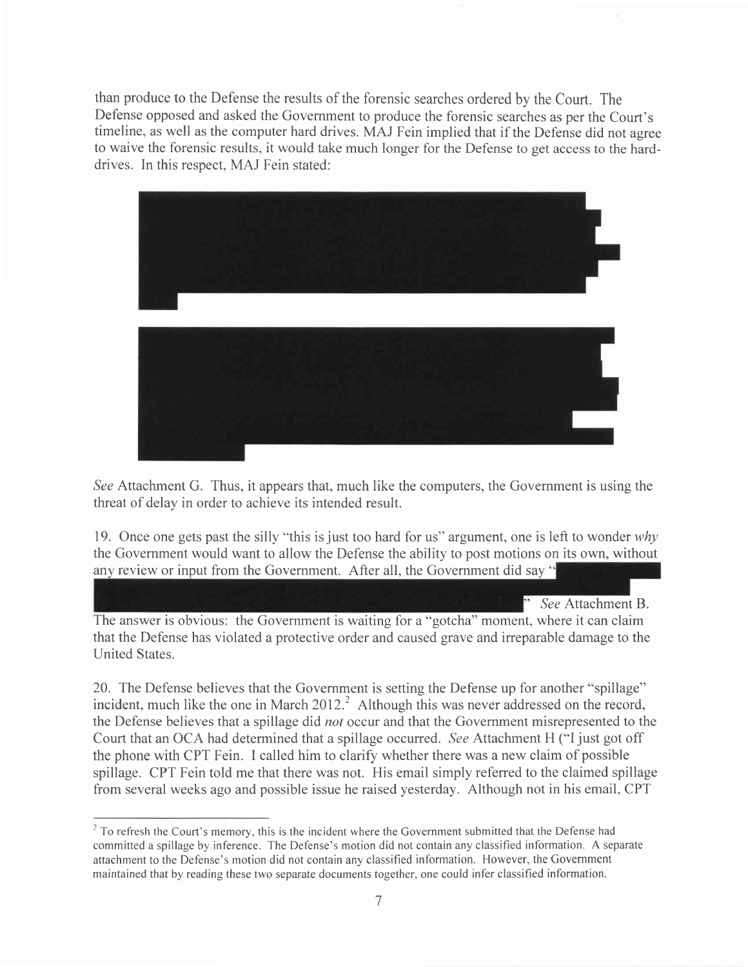than produce to the Defense the results of the forensic searches ordered by the Court. The Defense opposed and asked the Government to produce the forensic searches as per the Court's timeline, as well as the computer hard drives. MAJ Fein implied that if the Defense did not agree to waive the forensic results, it would take much longer for the Defense to get access to the harddrives. In this respect, MAJ Fein stated:



See Attachment G. Thus, it appears that, much like the computers, the Government is using the threat of delay in order to achieve its intended result.

19. Once one gets past the silly "this is just too hard for us" argument, one is left to wonder why the Government would want to allow the Defense the ability to post motions on its own, without any review or input from the Government. After all, the Government did say "

See Attachment B. The answer is obvious: the Government is waiting for a "gotcha" moment, where it can claim that the Defense has violated a protective order and caused grave and ineparable damage to the United States.

20. The Defense believes that the Government is setting the Defense up for another "spillage" incident, much like the one in March  $2012<sup>2</sup>$  Although this was never addressed on the record, the Defense believes that a spillage did not occur and that the Government misrepresented to the Court that an OCA had determined that a spillage occurred. See Attachment H ("I just got off the phone with CPT Fein. I called him to clarify whether there was a new claim of possible spillage. CPT Fein told me that there was not. His email simply referred to the claimed spillage from several weeks ago and possible issue he raised yesterday. Although not in his email, CPT

<sup>&</sup>lt;sup>2</sup> To refresh the Court's memory, this is the incident where the Government submitted that the Defense had committed a spillage by inference. The Defense's motion did not contain any classified information. A separate attachment to the Defense's motion did not contain any classified information. However, the Government maintained that by reading these two separate documents together, one could infer classified information.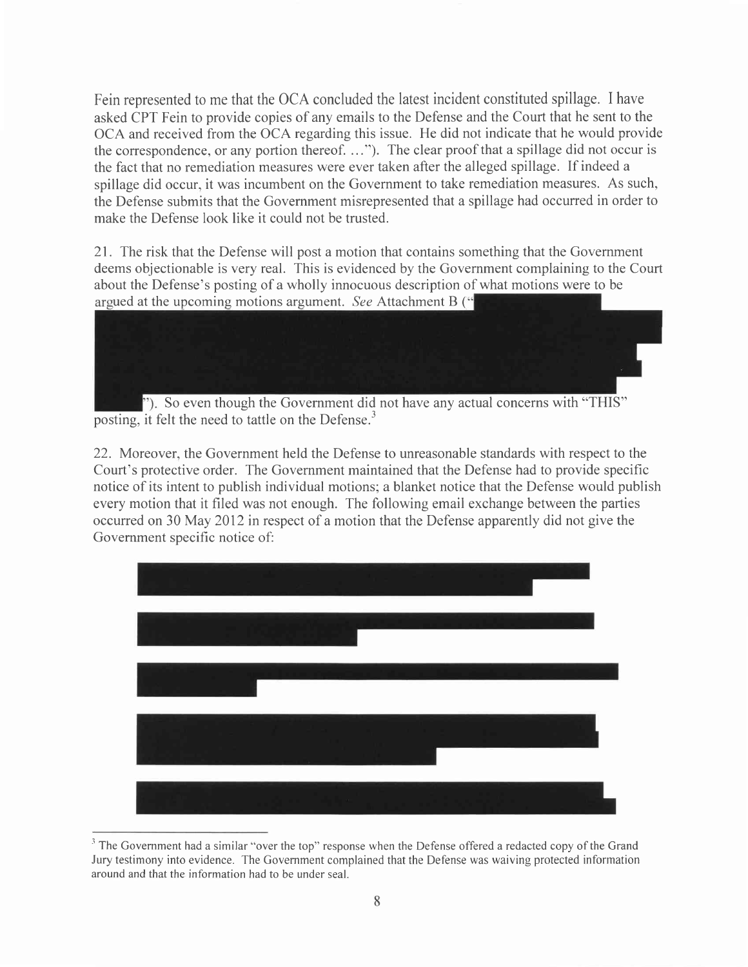Fein represented to me that the OCA concluded the latest incident constituted spillage. I have asked CPT Fein to provide copies of any emails to the Defense and the Court that he sent to the OCA and received from the OCA regarding this issue. He did not indicate that he would provide the correspondence, or any portion thereof. ..."). The clear proof that a spillage did not occur is the fact that no remediation measures were ever taken after the alleged spillage. If indeed <sup>a</sup> spillage did occur, it was incumbent on the Government to take remediation measures. As such, the Defense submits that the Government misrepresented that a spillage had occurred in order to make the Defense look like it could not be trusted.

21. The risk that the Defense will post a motion that contains something that the Government deems objectionable is very real. This is evidenced by the Government complaining to the Court about the Defense's posting of a wholly innocuous description of what motions were to be argued at the upcoming motions argument. See Attachment B  $($ 



"). So even though the Government did not have any actual concerns with "THIS" posting, it felt the need to tattle on the Defense.<sup>3</sup>

22. Moreover, the Government held the Defense to unreasonable standards with respect to the Court's protective order. The Government maintained that the Defense had to provide specific notice of its intent to publish individual motions; a blanket notice that the Defense would publish every motion that it filed was not enough. The following email exchange between the parties occurred on 30 May 2012 in respect of a motion that the Defense apparently did not give the Government specific notice of:



<sup>&</sup>lt;sup>3</sup> The Government had a similar "over the top" response when the Defense offered a redacted copy of the Grand Jury testimony into evidence. The Government complained that the Defense was waiving protected information around and that the information had to be under seal.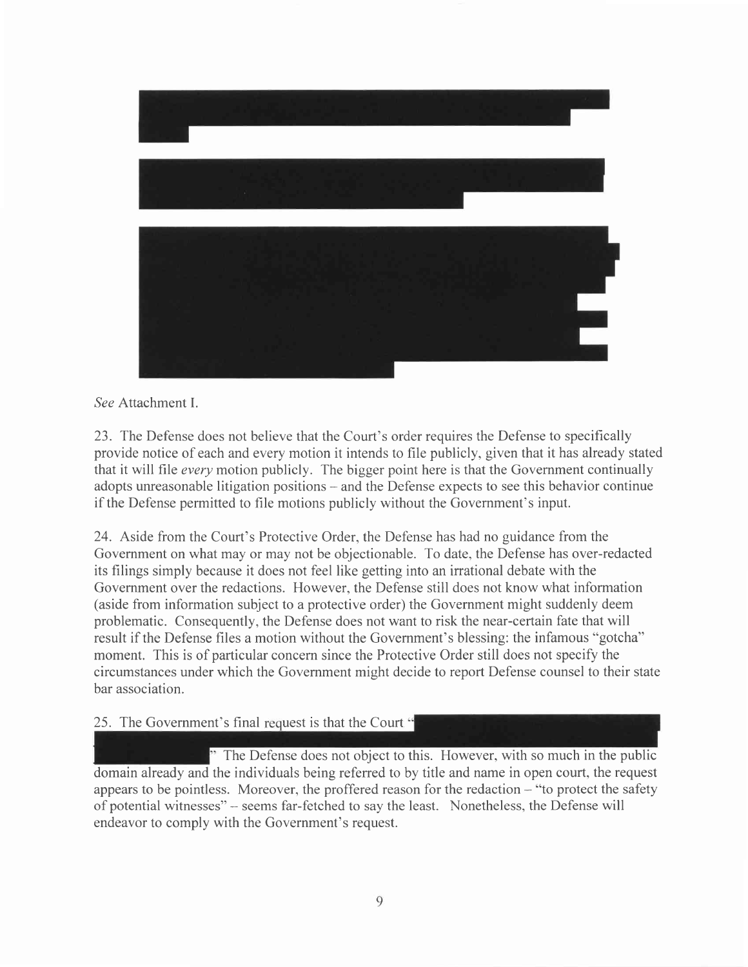

See Attachment I.

23. The Defense does not believe that the Court's order requires the Defense to specifically provide notice of each and every motion it intends to file publicly, given that it has already stated that it will file every motion publicly. The bigger point here is that the Government continually adopts unreasonable litigation positions – and the Defense expects to see this behavior continue if the Defense permitted to file motions publicly without the Government's input.

24. Aside from the Court's Protective Order, the Defense has had no guidance from the Government on what may or may not be objectionable. To date, the Defense has over-redacted its filings simply because it does not feel like getting into an irrational debate with the Government over the redactions. However, the Defense still does not know what information (aside from information subject to a protective order) the Government might suddenly deem problematic. Consequently, the Defense does not want to risk the near-certain fate that will result if the Defense files a motion without the Government's blessing: the infamous "gotcha" moment. This is of particular concern since the Protective Order still does not specify the circumstances under which the Government might decide to report Defense counsel to their state bar association.

### 25. The Government's final request is that the Court "

The Defense does not object to this. However, with so much in the public domain already and the individuals being referred to by title and name in open court, the request appears to be pointless. Moreover, the proffered reason for the redaction  $-$  "to protect the safety of potential witnesses" - seems far-fetched to say the least. Nonetheless, the Defense will endeavor to comply with the Government's request.